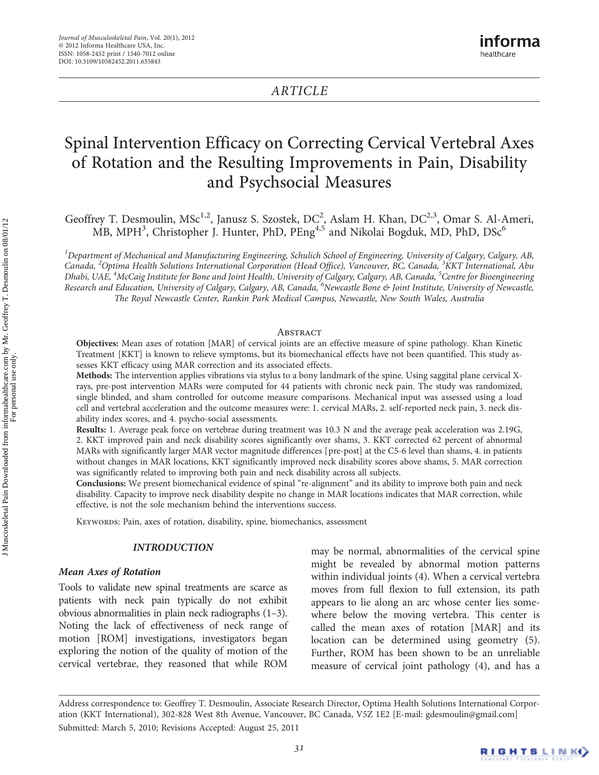# ARTICLE

# Spinal Intervention Efficacy on Correcting Cervical Vertebral Axes of Rotation and the Resulting Improvements in Pain, Disability and Psychsocial Measures

Geoffrey T. Desmoulin, MSc<sup>1,2</sup>, Janusz S. Szostek, DC<sup>2</sup>, Aslam H. Khan, DC<sup>2,3</sup>, Omar S. Al-Ameri, MB, MPH<sup>3</sup>, Christopher J. Hunter, PhD, PEng<sup>4,5</sup> and Nikolai Bogduk, MD, PhD, DSc<sup>6</sup>

 $^1$ Department of Mechanical and Manufacturing Engineering, Schulich School of Engineering, University of Calgary, Calgary, AB, Canada, <sup>2</sup>Optima Health Solutions International Corporation (Head Office), Vancouver, BC, Canada, <sup>3</sup>KKT International, Abu Dhabi, UAE, <sup>4</sup>McCaig Institute for Bone and Joint Health, University of Calgary, Calgary, AB, Canada, <sup>5</sup>Centre for Bioengineering Research and Education, University of Calgary, Calgary, AB, Canada, <sup>6</sup>Newcastle Bone & Joint Institute, University of Newcastle, The Royal Newcastle Center, Rankin Park Medical Campus, Newcastle, New South Wales, Australia

#### **ABSTRACT**

Objectives: Mean axes of rotation [MAR] of cervical joints are an effective measure of spine pathology. Khan Kinetic Treatment [KKT] is known to relieve symptoms, but its biomechanical effects have not been quantified. This study assesses KKT efficacy using MAR correction and its associated effects.

Methods: The intervention applies vibrations via stylus to a bony landmark of the spine. Using saggital plane cervical Xrays, pre-post intervention MARs were computed for 44 patients with chronic neck pain. The study was randomized, single blinded, and sham controlled for outcome measure comparisons. Mechanical input was assessed using a load cell and vertebral acceleration and the outcome measures were: 1. cervical MARs, 2. self-reported neck pain, 3. neck disability index scores, and 4. psycho-social assessments.

Results: 1. Average peak force on vertebrae during treatment was 10.3 N and the average peak acceleration was 2.19G, 2. KKT improved pain and neck disability scores significantly over shams, 3. KKT corrected 62 percent of abnormal MARs with significantly larger MAR vector magnitude differences [pre-post] at the C5-6 level than shams, 4. in patients without changes in MAR locations, KKT significantly improved neck disability scores above shams, 5. MAR correction was significantly related to improving both pain and neck disability across all subjects.

Conclusions: We present biomechanical evidence of spinal "re-alignment" and its ability to improve both pain and neck disability. Capacity to improve neck disability despite no change in MAR locations indicates that MAR correction, while effective, is not the sole mechanism behind the interventions success.

KEYWORDS: Pain, axes of rotation, disability, spine, biomechanics, assessment

#### **INTRODUCTION**

#### Mean Axes of Rotation

Tools to validate new spinal treatments are scarce as patients with neck pain typically do not exhibit obvious abnormalities in plain neck radiographs (1–3). Noting the lack of effectiveness of neck range of motion [ROM] investigations, investigators began exploring the notion of the quality of motion of the cervical vertebrae, they reasoned that while ROM may be normal, abnormalities of the cervical spine might be revealed by abnormal motion patterns within individual joints (4). When a cervical vertebra moves from full flexion to full extension, its path appears to lie along an arc whose center lies somewhere below the moving vertebra. This center is called the mean axes of rotation [MAR] and its location can be determined using geometry (5). Further, ROM has been shown to be an unreliable measure of cervical joint pathology (4), and has a

Address correspondence to: Geoffrey T. Desmoulin, Associate Research Director, Optima Health Solutions International Corporation (KKT International), 302-828 West 8th Avenue, Vancouver, BC Canada, V5Z 1E2 [E-mail: gdesmoulin@gmail.com] Submitted: March 5, 2010; Revisions Accepted: August 25, 2011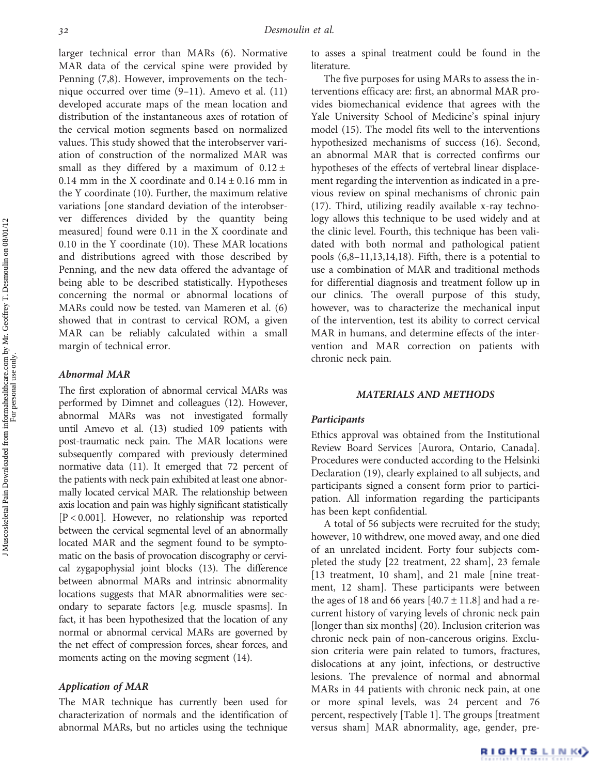larger technical error than MARs (6). Normative MAR data of the cervical spine were provided by Penning (7,8). However, improvements on the technique occurred over time (9–11). Amevo et al. (11) developed accurate maps of the mean location and distribution of the instantaneous axes of rotation of the cervical motion segments based on normalized values. This study showed that the interobserver variation of construction of the normalized MAR was small as they differed by a maximum of  $0.12 \pm$ 0.14 mm in the X coordinate and  $0.14 \pm 0.16$  mm in the Y coordinate (10). Further, the maximum relative variations [one standard deviation of the interobserver differences divided by the quantity being measured] found were 0.11 in the X coordinate and 0.10 in the Y coordinate (10). These MAR locations and distributions agreed with those described by Penning, and the new data offered the advantage of being able to be described statistically. Hypotheses concerning the normal or abnormal locations of MARs could now be tested. van Mameren et al. (6) showed that in contrast to cervical ROM, a given MAR can be reliably calculated within a small margin of technical error.

## Abnormal MAR

The first exploration of abnormal cervical MARs was performed by Dimnet and colleagues (12). However, abnormal MARs was not investigated formally until Amevo et al. (13) studied 109 patients with post-traumatic neck pain. The MAR locations were subsequently compared with previously determined normative data (11). It emerged that 72 percent of the patients with neck pain exhibited at least one abnormally located cervical MAR. The relationship between axis location and pain was highly significant statistically [P < 0.001]. However, no relationship was reported between the cervical segmental level of an abnormally located MAR and the segment found to be symptomatic on the basis of provocation discography or cervical zygapophysial joint blocks (13). The difference between abnormal MARs and intrinsic abnormality locations suggests that MAR abnormalities were secondary to separate factors [e.g. muscle spasms]. In fact, it has been hypothesized that the location of any normal or abnormal cervical MARs are governed by the net effect of compression forces, shear forces, and moments acting on the moving segment (14).

# Application of MAR

The MAR technique has currently been used for characterization of normals and the identification of abnormal MARs, but no articles using the technique

to asses a spinal treatment could be found in the literature.

The five purposes for using MARs to assess the interventions efficacy are: first, an abnormal MAR provides biomechanical evidence that agrees with the Yale University School of Medicine's spinal injury model (15). The model fits well to the interventions hypothesized mechanisms of success (16). Second, an abnormal MAR that is corrected confirms our hypotheses of the effects of vertebral linear displacement regarding the intervention as indicated in a previous review on spinal mechanisms of chronic pain (17). Third, utilizing readily available x-ray technology allows this technique to be used widely and at the clinic level. Fourth, this technique has been validated with both normal and pathological patient pools (6,8–11,13,14,18). Fifth, there is a potential to use a combination of MAR and traditional methods for differential diagnosis and treatment follow up in our clinics. The overall purpose of this study, however, was to characterize the mechanical input of the intervention, test its ability to correct cervical MAR in humans, and determine effects of the intervention and MAR correction on patients with chronic neck pain.

#### MATERIALS AND METHODS

#### **Participants**

Ethics approval was obtained from the Institutional Review Board Services [Aurora, Ontario, Canada]. Procedures were conducted according to the Helsinki Declaration (19), clearly explained to all subjects, and participants signed a consent form prior to participation. All information regarding the participants has been kept confidential.

A total of 56 subjects were recruited for the study; however, 10 withdrew, one moved away, and one died of an unrelated incident. Forty four subjects completed the study [22 treatment, 22 sham], 23 female [13 treatment, 10 sham], and 21 male [nine treatment, 12 sham]. These participants were between the ages of 18 and 66 years  $[40.7 \pm 11.8]$  and had a recurrent history of varying levels of chronic neck pain [longer than six months] (20). Inclusion criterion was chronic neck pain of non-cancerous origins. Exclusion criteria were pain related to tumors, fractures, dislocations at any joint, infections, or destructive lesions. The prevalence of normal and abnormal MARs in 44 patients with chronic neck pain, at one or more spinal levels, was 24 percent and 76 percent, respectively [Table 1]. The groups [treatment versus sham] MAR abnormality, age, gender, pre-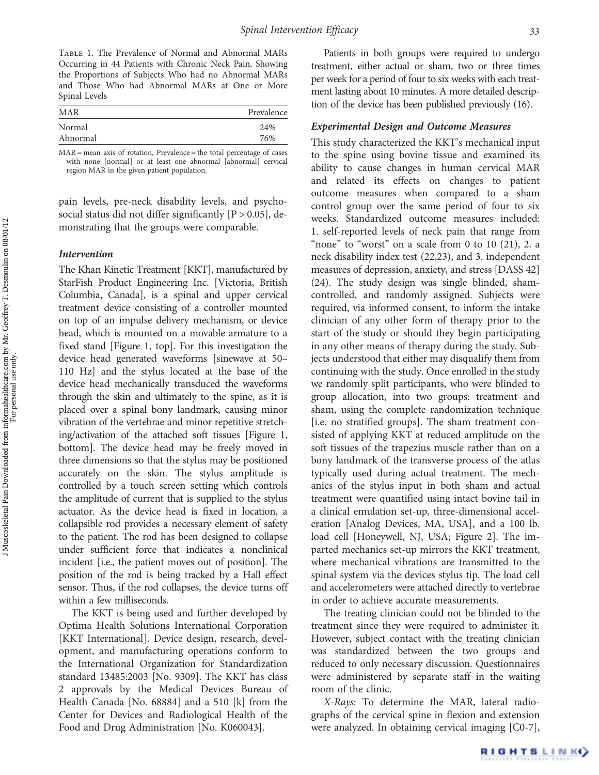TABLE 1. The Prevalence of Normal and Abnormal MARs Occurring in 44 Patients with Chronic Neck Pain, Showing the Proportions of Subjects Who had no Abnormal MARs and Those Who had Abnormal MARs at One or More Spinal Levels

| MAR      | Prevalence |
|----------|------------|
| Normal   | 24%        |
| Abnormal | 76%        |
|          |            |

MAR = mean axis of rotation, Prevalence = the total percentage of cases with none [normal] or at least one abnormal [abnormal] cervical region MAR in the given patient population.

pain levels, pre-neck disability levels, and psychosocial status did not differ significantly  $[P > 0.05]$ , demonstrating that the groups were comparable.

# Intervention

The Khan Kinetic Treatment [KKT], manufactured by StarFish Product Engineering Inc. [Victoria, British Columbia, Canada], is a spinal and upper cervical treatment device consisting of a controller mounted on top of an impulse delivery mechanism, or device head, which is mounted on a movable armature to a fixed stand [Figure 1, top]. For this investigation the device head generated waveforms [sinewave at 50– 110 Hz] and the stylus located at the base of the device head mechanically transduced the waveforms through the skin and ultimately to the spine, as it is placed over a spinal bony landmark, causing minor vibration of the vertebrae and minor repetitive stretching/activation of the attached soft tissues [Figure 1, bottom]. The device head may be freely moved in three dimensions so that the stylus may be positioned accurately on the skin. The stylus amplitude is controlled by a touch screen setting which controls the amplitude of current that is supplied to the stylus actuator. As the device head is fixed in location, a collapsible rod provides a necessary element of safety to the patient. The rod has been designed to collapse under sufficient force that indicates a nonclinical incident [i.e., the patient moves out of position]. The position of the rod is being tracked by a Hall effect sensor. Thus, if the rod collapses, the device turns off within a few milliseconds.

The KKT is being used and further developed by Optima Health Solutions International Corporation [KKT International]. Device design, research, development, and manufacturing operations conform to the International Organization for Standardization standard 13485:2003 [No. 9309]. The KKT has class 2 approvals by the Medical Devices Bureau of Health Canada [No. 68884] and a 510 [k] from the Center for Devices and Radiological Health of the Food and Drug Administration [No. K060043].

Patients in both groups were required to undergo treatment, either actual or sham, two or three times per week for a period of four to six weeks with each treatment lasting about 10 minutes. A more detailed description of the device has been published previously (16).

#### Experimental Design and Outcome Measures

This study characterized the KKT's mechanical input to the spine using bovine tissue and examined its ability to cause changes in human cervical MAR and related its effects on changes to patient outcome measures when compared to a sham control group over the same period of four to six weeks. Standardized outcome measures included: 1. self-reported levels of neck pain that range from "none" to "worst" on a scale from  $0$  to  $10$   $(21)$ ,  $2$ . a neck disability index test (22,23), and 3. independent measures of depression, anxiety, and stress [DASS 42] (24). The study design was single blinded, shamcontrolled, and randomly assigned. Subjects were required, via informed consent, to inform the intake clinician of any other form of therapy prior to the start of the study or should they begin participating in any other means of therapy during the study. Subjects understood that either may disqualify them from continuing with the study. Once enrolled in the study we randomly split participants, who were blinded to group allocation, into two groups: treatment and sham, using the complete randomization technique [i.e. no stratified groups]. The sham treatment consisted of applying KKT at reduced amplitude on the soft tissues of the trapezius muscle rather than on a bony landmark of the transverse process of the atlas typically used during actual treatment. The mechanics of the stylus input in both sham and actual treatment were quantified using intact bovine tail in a clinical emulation set-up, three-dimensional acceleration [Analog Devices, MA, USA], and a 100 lb. load cell [Honeywell, NJ, USA; Figure 2]. The imparted mechanics set-up mirrors the KKT treatment, where mechanical vibrations are transmitted to the spinal system via the devices stylus tip. The load cell and accelerometers were attached directly to vertebrae in order to achieve accurate measurements.

The treating clinician could not be blinded to the treatment since they were required to administer it. However, subject contact with the treating clinician was standardized between the two groups and reduced to only necessary discussion. Questionnaires were administered by separate staff in the waiting room of the clinic.

X-Rays: To determine the MAR, lateral radiographs of the cervical spine in flexion and extension were analyzed. In obtaining cervical imaging [C0-7],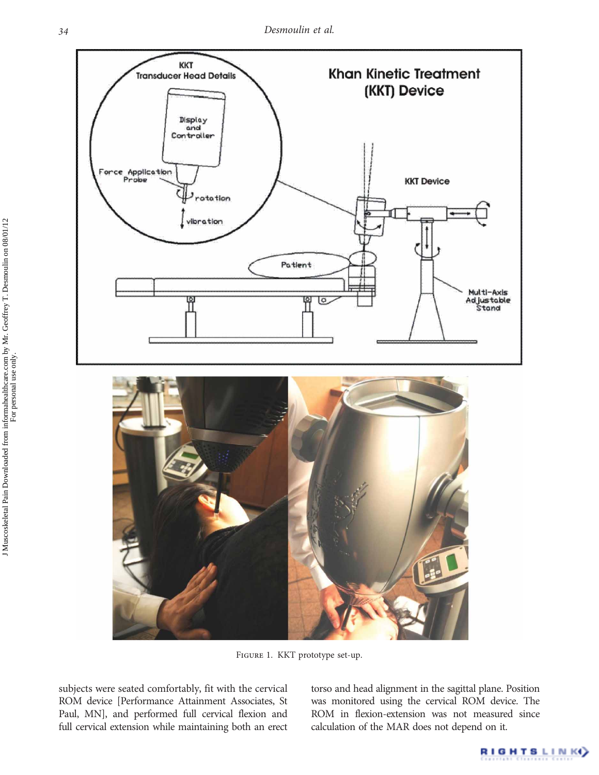

FIGURE 1. KKT prototype set-up.

subjects were seated comfortably, fit with the cervical ROM device [Performance Attainment Associates, St Paul, MN], and performed full cervical flexion and full cervical extension while maintaining both an erect torso and head alignment in the sagittal plane. Position was monitored using the cervical ROM device. The ROM in flexion-extension was not measured since calculation of the MAR does not depend on it.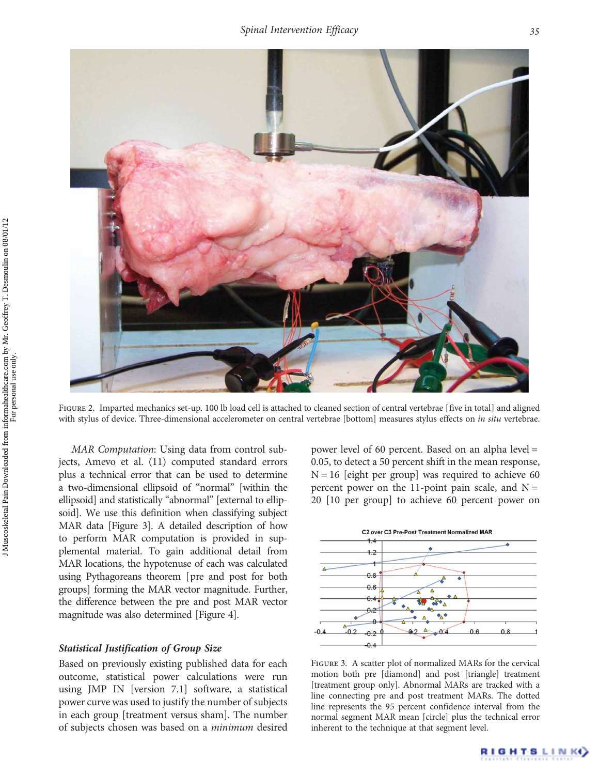

FIGURE 2. Imparted mechanics set-up. 100 lb load cell is attached to cleaned section of central vertebrae [five in total] and aligned with stylus of device. Three-dimensional accelerometer on central vertebrae [bottom] measures stylus effects on in situ vertebrae.

MAR Computation: Using data from control subjects, Amevo et al. (11) computed standard errors plus a technical error that can be used to determine a two-dimensional ellipsoid of "normal" [within the ellipsoid] and statistically "abnormal" [external to ellipsoid]. We use this definition when classifying subject MAR data [Figure 3]. A detailed description of how to perform MAR computation is provided in supplemental material. To gain additional detail from MAR locations, the hypotenuse of each was calculated using Pythagoreans theorem [pre and post for both groups] forming the MAR vector magnitude. Further, the difference between the pre and post MAR vector magnitude was also determined [Figure 4].

#### Statistical Justification of Group Size

Based on previously existing published data for each outcome, statistical power calculations were run using JMP IN [version 7.1] software, a statistical power curve was used to justify the number of subjects in each group [treatment versus sham]. The number of subjects chosen was based on a minimum desired

power level of 60 percent. Based on an alpha level = 0.05, to detect a 50 percent shift in the mean response,  $N = 16$  [eight per group] was required to achieve 60 percent power on the 11-point pain scale, and  $N =$ 20 [10 per group] to achieve 60 percent power on



FIGURE 3. A scatter plot of normalized MARs for the cervical motion both pre [diamond] and post [triangle] treatment [treatment group only]. Abnormal MARs are tracked with a line connecting pre and post treatment MARs. The dotted line represents the 95 percent confidence interval from the normal segment MAR mean [circle] plus the technical error inherent to the technique at that segment level.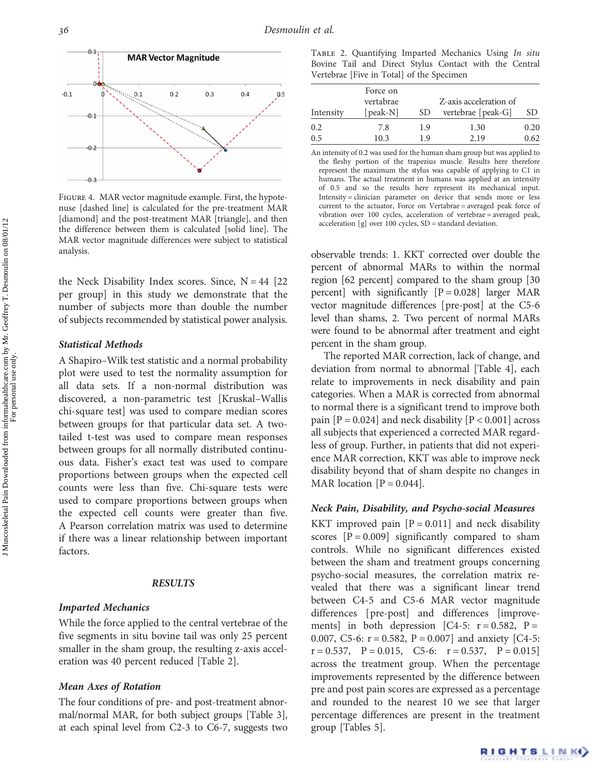

FIGURE 4. MAR vector magnitude example. First, the hypotenuse [dashed line] is calculated for the pre-treatment MAR [diamond] and the post-treatment MAR [triangle], and then the difference between them is calculated [solid line]. The MAR vector magnitude differences were subject to statistical analysis.

the Neck Disability Index scores. Since,  $N = 44$  [22] per group] in this study we demonstrate that the number of subjects more than double the number of subjects recommended by statistical power analysis.

# Statistical Methods

A Shapiro–Wilk test statistic and a normal probability plot were used to test the normality assumption for all data sets. If a non-normal distribution was discovered, a non-parametric test [Kruskal–Wallis chi-square test] was used to compare median scores between groups for that particular data set. A twotailed t-test was used to compare mean responses between groups for all normally distributed continuous data. Fisher's exact test was used to compare proportions between groups when the expected cell counts were less than five. Chi-square tests were used to compare proportions between groups when the expected cell counts were greater than five. A Pearson correlation matrix was used to determine if there was a linear relationship between important factors.

#### **RESULTS**

#### Imparted Mechanics

While the force applied to the central vertebrae of the five segments in situ bovine tail was only 25 percent smaller in the sham group, the resulting z-axis acceleration was 40 percent reduced [Table 2].

#### Mean Axes of Rotation

The four conditions of pre- and post-treatment abnormal/normal MAR, for both subject groups [Table 3], at each spinal level from C2-3 to C6-7, suggests two

TABLE 2. Quantifying Imparted Mechanics Using In situ Bovine Tail and Direct Stylus Contact with the Central Vertebrae [Five in Total] of the Specimen

| Intensity | Force on<br>vertabrae<br>[peak-N] | SD  | Z-axis acceleration of<br>vertebrae [peak-G] | SD   |
|-----------|-----------------------------------|-----|----------------------------------------------|------|
| 0.2       | 7.8                               | 1.9 | 1.30                                         | 0.20 |
| 0.5       | 10.3                              | 19  | 2.19                                         | 0.62 |

An intensity of 0.2 was used for the human sham group but was applied to the fleshy portion of the trapezius muscle. Results here therefore represent the maximum the stylus was capable of applying to C1 in humans. The actual treatment in humans was applied at an intensity of 0.5 and so the results here represent its mechanical input. Intensity = clinician parameter on device that sends more or less current to the actuator, Force on Vertabrae = averaged peak force of vibration over 100 cycles, acceleration of vertebrae = averaged peak, acceleration [g] over 100 cycles, SD = standard deviation.

observable trends: 1. KKT corrected over double the percent of abnormal MARs to within the normal region [62 percent] compared to the sham group [30 percent] with significantly  $[P = 0.028]$  larger MAR vector magnitude differences [pre-post] at the C5-6 level than shams, 2. Two percent of normal MARs were found to be abnormal after treatment and eight percent in the sham group.

The reported MAR correction, lack of change, and deviation from normal to abnormal [Table 4], each relate to improvements in neck disability and pain categories. When a MAR is corrected from abnormal to normal there is a significant trend to improve both pain  $[P = 0.024]$  and neck disability  $[P < 0.001]$  across all subjects that experienced a corrected MAR regardless of group. Further, in patients that did not experience MAR correction, KKT was able to improve neck disability beyond that of sham despite no changes in MAR location  $[P = 0.044]$ .

#### Neck Pain, Disability, and Psycho-social Measures

KKT improved pain  $[P = 0.011]$  and neck disability scores  $[P = 0.009]$  significantly compared to sham controls. While no significant differences existed between the sham and treatment groups concerning psycho-social measures, the correlation matrix revealed that there was a significant linear trend between C4-5 and C5-6 MAR vector magnitude differences [pre-post] and differences [improvements] in both depression [C4-5:  $r = 0.582$ , P = 0.007, C5-6:  $r = 0.582$ ,  $P = 0.007$ ] and anxiety [C4-5:  $r = 0.537$ ,  $P = 0.015$ , C5-6:  $r = 0.537$ ,  $P = 0.015$ across the treatment group. When the percentage improvements represented by the difference between pre and post pain scores are expressed as a percentage and rounded to the nearest 10 we see that larger percentage differences are present in the treatment group [Tables 5].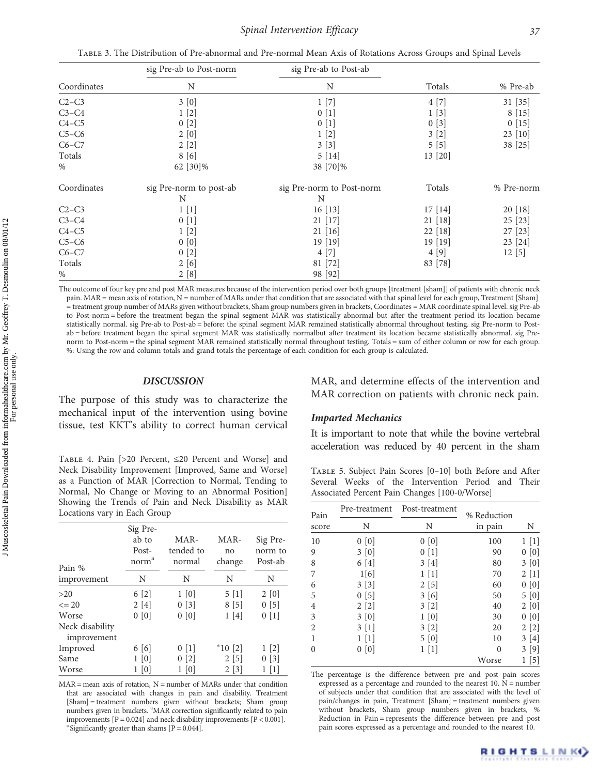|             | sig Pre-ab to Post-norm | sig Pre-ab to Post-ab     |           |            |
|-------------|-------------------------|---------------------------|-----------|------------|
| Coordinates | N                       | N                         | Totals    | % Pre-ab   |
| $C2-C3$     | 3[0]                    | 1 <sub>[7]</sub>          | 4[7]      | 31 [35]    |
| $C3-C4$     | 1[2]                    | 0[1]                      | 1[3]      | 8 [15]     |
| $C4-C5$     | 0[2]                    | 0[1]                      | 0[3]      | 0[15]      |
| $C5-C6$     | 2[0]                    | 1[2]                      | 3[2]      | 23 [10]    |
| $C6-C7$     | 2[2]                    | 3[3]                      | 5[5]      | 38 [25]    |
| Totals      | 8[6]                    | 5[14]                     | 13 [20]   |            |
| $\%$        | 62 [30]%                | 38 [70]%                  |           |            |
| Coordinates | sig Pre-norm to post-ab | sig Pre-norm to Post-norm | Totals    | % Pre-norm |
|             | N                       | N                         |           |            |
| $C2-C3$     | 1 <sub>[1]</sub>        | 16[13]                    | 17[14]    | 20[18]     |
| $C3-C4$     | 0[1]                    | $21$ [17]                 | $21$ [18] | 25 [23]    |
| $C4-C5$     | 1[2]                    | 21 [16]                   | 22 [18]   | 27 [23]    |
| $C5-C6$     | 0[0]                    | 19[19]                    | 19[19]    | 23 [24]    |
| $C6-C7$     | 0[2]                    | $4^{7}$                   | 4[9]      | 12[5]      |
| Totals      | 2[6]                    | 81 [72]                   | 83 [78]   |            |
| $\%$        | 2[8]                    | 98 [92]                   |           |            |

TABLE 3. The Distribution of Pre-abnormal and Pre-normal Mean Axis of Rotations Across Groups and Spinal Levels

The outcome of four key pre and post MAR measures because of the intervention period over both groups [treatment [sham]] of patients with chronic neck pain. MAR = mean axis of rotation, N = number of MARs under that condition that are associated with that spinal level for each group, Treatment [Sham] = treatment group number of MARs given without brackets, Sham group numbers given in brackets, Coordinates = MAR coordinate spinal level. sig Pre-ab to Post-norm = before the treatment began the spinal segment MAR was statistically abnormal but after the treatment period its location became statistically normal. sig Pre-ab to Post-ab = before: the spinal segment MAR remained statistically abnormal throughout testing. sig Pre-norm to Postab = before treatment began the spinal segment MAR was statistically normalbut after treatment its location became statistically abnormal. sig Prenorm to Post-norm = the spinal segment MAR remained statistically normal throughout testing. Totals = sum of either column or row for each group. %: Using the row and column totals and grand totals the percentage of each condition for each group is calculated.

#### **DISCUSSION**

The purpose of this study was to characterize the mechanical input of the intervention using bovine tissue, test KKT's ability to correct human cervical

TABLE 4. Pain [>20 Percent,  $\leq$ 20 Percent and Worse] and Neck Disability Improvement [Improved, Same and Worse] as a Function of MAR [Correction to Normal, Tending to Normal, No Change or Moving to an Abnormal Position] Showing the Trends of Pain and Neck Disability as MAR Locations vary in Each Group

| Pain %                         | Sig Pre-<br>ab to<br>Post-<br>norm <sup>a</sup> | MAR-<br>tended to<br>normal | MAR-<br>no<br>change | Sig Pre-<br>norm to<br>Post-ab |
|--------------------------------|-------------------------------------------------|-----------------------------|----------------------|--------------------------------|
| improvement                    | N                                               | N                           | N                    | N                              |
| >20                            | 6[2]                                            | $1\, [0]$                   | 5[1]                 | 2[0]                           |
| $\leq$ 20                      | 2[4]                                            | 0[3]                        | 8[5]                 | 0[5]                           |
| Worse                          | 0[0]                                            | 0[0]                        | 1[4]                 | 0[1]                           |
| Neck disability<br>improvement |                                                 |                             |                      |                                |
| Improved                       | 6 [6]                                           | 0[1]                        | $*10$ [2]            | 1[2]                           |
| Same                           | $1\, [0]$                                       | 0[2]                        | $2^{5}$              | 0[3]                           |
| Worse                          | $1\vert 0\rangle$                               | $1\vert 0\rangle$           | $2^{5}$              | 1 [1]                          |

 $MAR$  = mean axis of rotation,  $N$  = number of MARs under that condition that are associated with changes in pain and disability. Treatment [Sham] = treatment numbers given without brackets; Sham group numbers given in brackets. <sup>a</sup>MAR correction significantly related to pain improvements  $[P = 0.024]$  and neck disability improvements  $[P < 0.001]$ .  $*$ Significantly greater than shams [P = 0.044].

MAR, and determine effects of the intervention and MAR correction on patients with chronic neck pain.

#### Imparted Mechanics

It is important to note that while the bovine vertebral acceleration was reduced by 40 percent in the sham

TABLE 5. Subject Pain Scores  $[0-10]$  both Before and After Several Weeks of the Intervention Period and Their Associated Percent Pain Changes [100-0/Worse]

| Pain           | Pre-treatment     | Post-treatment   | % Reduction |            |  |
|----------------|-------------------|------------------|-------------|------------|--|
| score          | N                 | N                | in pain     | N          |  |
| 10             | 0 [0]             | 0[0]             | 100         | 1[1]       |  |
| 9              | 3[0]              | 0[1]             | 90          | 0[0]       |  |
| 8              | 6[4]              | 3[4]             | 80          | 3[0]       |  |
| 7              | 1[6]              | $1 \; [1]$       | 70          | 2[1]       |  |
| 6              | 3[3]              | $2^{5}$          | 60          | 0[0]       |  |
| 5              | 0[5]              | 3[6]             | 50          | 5[0]       |  |
| 4              | 2[2]              | 3[2]             | 40          | 2[0]       |  |
| 3              | 3[0]              | $1\vert 0 \vert$ | 30          | 0[0]       |  |
| 2              | 3[1]              | 3[2]             | 20          | $2^{2}[2]$ |  |
| $\mathbf{1}$   | $1 \vert 1 \vert$ | 5[0]             | 10          | 3[4]       |  |
| $\overline{0}$ | 0 0               | $1 \; [1]$       | $\Omega$    | 3[9]       |  |
|                |                   |                  | Worse       | $1\;[5]$   |  |

The percentage is the difference between pre and post pain scores expressed as a percentage and rounded to the nearest 10. N = number of subjects under that condition that are associated with the level of pain/changes in pain, Treatment [Sham] = treatment numbers given without brackets, Sham group numbers given in brackets, % Reduction in Pain = represents the difference between pre and post pain scores expressed as a percentage and rounded to the nearest 10.

RIGHTS LINKO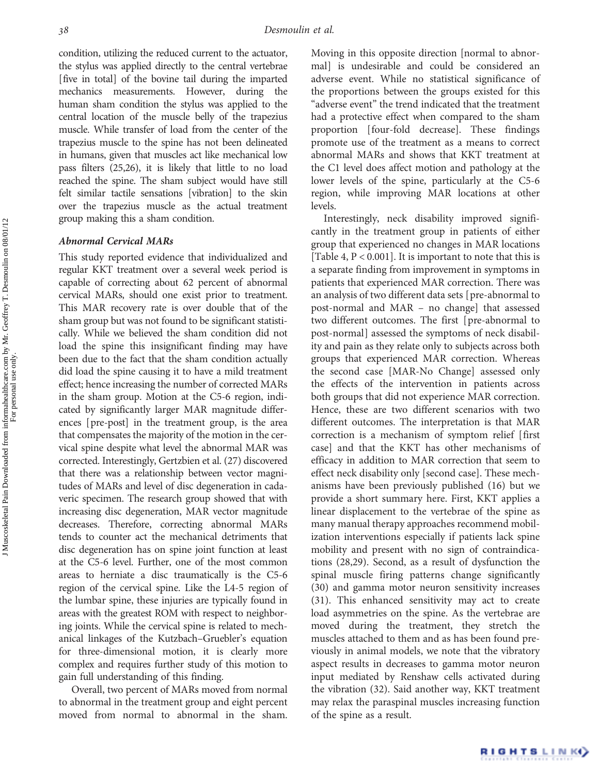condition, utilizing the reduced current to the actuator, the stylus was applied directly to the central vertebrae [five in total] of the bovine tail during the imparted mechanics measurements. However, during the human sham condition the stylus was applied to the central location of the muscle belly of the trapezius muscle. While transfer of load from the center of the trapezius muscle to the spine has not been delineated in humans, given that muscles act like mechanical low pass filters (25,26), it is likely that little to no load reached the spine. The sham subject would have still felt similar tactile sensations [vibration] to the skin over the trapezius muscle as the actual treatment group making this a sham condition.

### Abnormal Cervical MARs

This study reported evidence that individualized and regular KKT treatment over a several week period is capable of correcting about 62 percent of abnormal cervical MARs, should one exist prior to treatment. This MAR recovery rate is over double that of the sham group but was not found to be significant statistically. While we believed the sham condition did not load the spine this insignificant finding may have been due to the fact that the sham condition actually did load the spine causing it to have a mild treatment effect; hence increasing the number of corrected MARs in the sham group. Motion at the C5-6 region, indicated by significantly larger MAR magnitude differences [pre-post] in the treatment group, is the area that compensates the majority of the motion in the cervical spine despite what level the abnormal MAR was corrected. Interestingly, Gertzbien et al. (27) discovered that there was a relationship between vector magnitudes of MARs and level of disc degeneration in cadaveric specimen. The research group showed that with increasing disc degeneration, MAR vector magnitude decreases. Therefore, correcting abnormal MARs tends to counter act the mechanical detriments that disc degeneration has on spine joint function at least at the C5-6 level. Further, one of the most common areas to herniate a disc traumatically is the C5-6 region of the cervical spine. Like the L4-5 region of the lumbar spine, these injuries are typically found in areas with the greatest ROM with respect to neighboring joints. While the cervical spine is related to mechanical linkages of the Kutzbach–Gruebler's equation for three-dimensional motion, it is clearly more complex and requires further study of this motion to gain full understanding of this finding.

Overall, two percent of MARs moved from normal to abnormal in the treatment group and eight percent moved from normal to abnormal in the sham.

Moving in this opposite direction [normal to abnormal] is undesirable and could be considered an adverse event. While no statistical significance of the proportions between the groups existed for this "adverse event" the trend indicated that the treatment had a protective effect when compared to the sham proportion [four-fold decrease]. These findings promote use of the treatment as a means to correct abnormal MARs and shows that KKT treatment at the C1 level does affect motion and pathology at the lower levels of the spine, particularly at the C5-6 region, while improving MAR locations at other levels.

Interestingly, neck disability improved significantly in the treatment group in patients of either group that experienced no changes in MAR locations [Table 4,  $P < 0.001$ ]. It is important to note that this is a separate finding from improvement in symptoms in patients that experienced MAR correction. There was an analysis of two different data sets [pre-abnormal to post-normal and MAR – no change] that assessed two different outcomes. The first [pre-abnormal to post-normal] assessed the symptoms of neck disability and pain as they relate only to subjects across both groups that experienced MAR correction. Whereas the second case [MAR-No Change] assessed only the effects of the intervention in patients across both groups that did not experience MAR correction. Hence, these are two different scenarios with two different outcomes. The interpretation is that MAR correction is a mechanism of symptom relief [first case] and that the KKT has other mechanisms of efficacy in addition to MAR correction that seem to effect neck disability only [second case]. These mechanisms have been previously published (16) but we provide a short summary here. First, KKT applies a linear displacement to the vertebrae of the spine as many manual therapy approaches recommend mobilization interventions especially if patients lack spine mobility and present with no sign of contraindications (28,29). Second, as a result of dysfunction the spinal muscle firing patterns change significantly (30) and gamma motor neuron sensitivity increases (31). This enhanced sensitivity may act to create load asymmetries on the spine. As the vertebrae are moved during the treatment, they stretch the muscles attached to them and as has been found previously in animal models, we note that the vibratory aspect results in decreases to gamma motor neuron input mediated by Renshaw cells activated during the vibration (32). Said another way, KKT treatment may relax the paraspinal muscles increasing function of the spine as a result.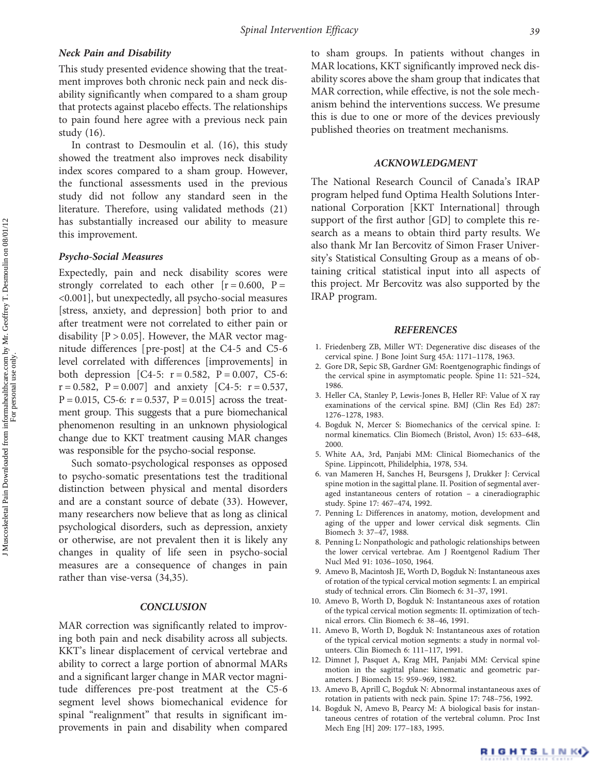#### Neck Pain and Disability

This study presented evidence showing that the treatment improves both chronic neck pain and neck disability significantly when compared to a sham group that protects against placebo effects. The relationships to pain found here agree with a previous neck pain study (16).

In contrast to Desmoulin et al. (16), this study showed the treatment also improves neck disability index scores compared to a sham group. However, the functional assessments used in the previous study did not follow any standard seen in the literature. Therefore, using validated methods (21) has substantially increased our ability to measure this improvement.

#### Psycho-Social Measures

Expectedly, pain and neck disability scores were strongly correlated to each other  $[r = 0.600, P =$ <0.001], but unexpectedly, all psycho-social measures [stress, anxiety, and depression] both prior to and after treatment were not correlated to either pain or disability  $[P > 0.05]$ . However, the MAR vector magnitude differences [pre-post] at the C4-5 and C5-6 level correlated with differences [improvements] in both depression [C4-5:  $r = 0.582$ ,  $P = 0.007$ , C5-6:  $r = 0.582$ ,  $P = 0.007$ ] and anxiety [C4-5:  $r = 0.537$ ,  $P = 0.015$ , C5-6:  $r = 0.537$ ,  $P = 0.015$  across the treatment group. This suggests that a pure biomechanical phenomenon resulting in an unknown physiological change due to KKT treatment causing MAR changes was responsible for the psycho-social response.

Such somato-psychological responses as opposed to psycho-somatic presentations test the traditional distinction between physical and mental disorders and are a constant source of debate (33). However, many researchers now believe that as long as clinical psychological disorders, such as depression, anxiety or otherwise, are not prevalent then it is likely any changes in quality of life seen in psycho-social measures are a consequence of changes in pain rather than vise-versa (34,35).

#### **CONCLUSION**

MAR correction was significantly related to improving both pain and neck disability across all subjects. KKT's linear displacement of cervical vertebrae and ability to correct a large portion of abnormal MARs and a significant larger change in MAR vector magnitude differences pre-post treatment at the C5-6 segment level shows biomechanical evidence for spinal "realignment" that results in significant improvements in pain and disability when compared to sham groups. In patients without changes in MAR locations, KKT significantly improved neck disability scores above the sham group that indicates that MAR correction, while effective, is not the sole mechanism behind the interventions success. We presume this is due to one or more of the devices previously published theories on treatment mechanisms.

#### ACKNOWLEDGMENT

The National Research Council of Canada's IRAP program helped fund Optima Health Solutions International Corporation [KKT International] through support of the first author [GD] to complete this research as a means to obtain third party results. We also thank Mr Ian Bercovitz of Simon Fraser University's Statistical Consulting Group as a means of obtaining critical statistical input into all aspects of this project. Mr Bercovitz was also supported by the IRAP program.

#### **REFERENCES**

- 1. Friedenberg ZB, Miller WT: Degenerative disc diseases of the cervical spine. J Bone Joint Surg 45A: 1171–1178, 1963.
- 2. Gore DR, Sepic SB, Gardner GM: Roentgenographic findings of the cervical spine in asymptomatic people. Spine 11: 521–524, 1986.
- 3. Heller CA, Stanley P, Lewis-Jones B, Heller RF: Value of X ray examinations of the cervical spine. BMJ (Clin Res Ed) 287: 1276–1278, 1983.
- 4. Bogduk N, Mercer S: Biomechanics of the cervical spine. I: normal kinematics. Clin Biomech (Bristol, Avon) 15: 633–648, 2000.
- 5. White AA, 3rd, Panjabi MM: Clinical Biomechanics of the Spine. Lippincott, Philidelphia, 1978, 534.
- 6. van Mameren H, Sanches H, Beursgens J, Drukker J: Cervical spine motion in the sagittal plane. II. Position of segmental averaged instantaneous centers of rotation – a cineradiographic study. Spine 17: 467–474, 1992.
- 7. Penning L: Differences in anatomy, motion, development and aging of the upper and lower cervical disk segments. Clin Biomech 3: 37–47, 1988.
- 8. Penning L: Nonpathologic and pathologic relationships between the lower cervical vertebrae. Am J Roentgenol Radium Ther Nucl Med 91: 1036–1050, 1964.
- 9. Amevo B, Macintosh JE, Worth D, Bogduk N: Instantaneous axes of rotation of the typical cervical motion segments: I. an empirical study of technical errors. Clin Biomech 6: 31–37, 1991.
- 10. Amevo B, Worth D, Bogduk N: Instantaneous axes of rotation of the typical cervical motion segments: II. optimization of technical errors. Clin Biomech 6: 38–46, 1991.
- 11. Amevo B, Worth D, Bogduk N: Instantaneous axes of rotation of the typical cervical motion segments: a study in normal volunteers. Clin Biomech 6: 111–117, 1991.
- 12. Dimnet J, Pasquet A, Krag MH, Panjabi MM: Cervical spine motion in the sagittal plane: kinematic and geometric parameters. J Biomech 15: 959–969, 1982.
- 13. Amevo B, Aprill C, Bogduk N: Abnormal instantaneous axes of rotation in patients with neck pain. Spine 17: 748–756, 1992.
- 14. Bogduk N, Amevo B, Pearcy M: A biological basis for instantaneous centres of rotation of the vertebral column. Proc Inst Mech Eng [H] 209: 177–183, 1995.